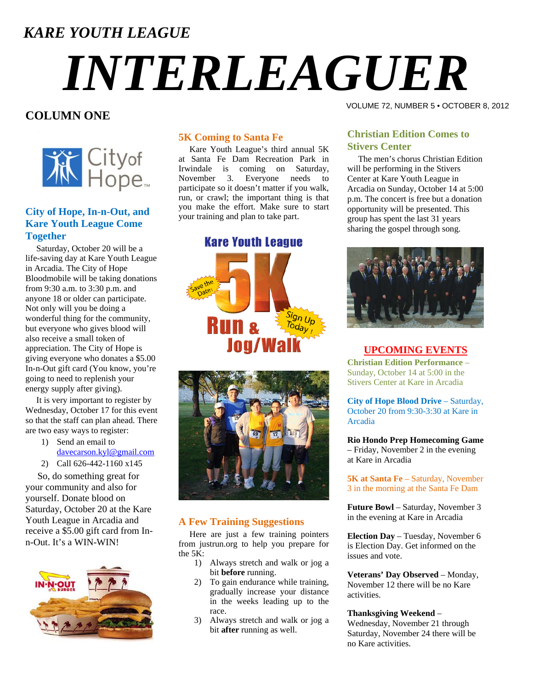### *KARE YOUTH LEAGUE*

# *INTERLEAGUER*

#### **COLUMN ONE**



#### **City of Hope, In-n-Out, and Kare Youth League Come Together**

 Saturday, October 20 will be a life-saving day at Kare Youth League in Arcadia. The City of Hope Bloodmobile will be taking donations from 9:30 a.m. to 3:30 p.m. and anyone 18 or older can participate. Not only will you be doing a wonderful thing for the community, but everyone who gives blood will also receive a small token of appreciation. The City of Hope is giving everyone who donates a \$5.00 In-n-Out gift card (You know, you're going to need to replenish your energy supply after giving).

 It is very important to register by Wednesday, October 17 for this event so that the staff can plan ahead. There are two easy ways to register:

- 1) Send an email to [davecarson.kyl@gmail.com](mailto:davecarson.kyl@gmail.com)
- 2) Call 626-442-1160 x145

 So, do something great for your community and also for yourself. Donate blood on Saturday, October 20 at the Kare Youth League in Arcadia and receive a \$5.00 gift card from Inn-Out. It's a WIN-WIN!



#### **5K Coming to Santa Fe**

 Kare Youth League's third annual 5K at Santa Fe Dam Recreation Park in Irwindale is coming on Saturday, November 3. Everyone needs to participate so it doesn't matter if you walk, run, or crawl; the important thing is that you make the effort. Make sure to start your training and plan to take part.

#### **Kare Youth League**





#### **A Few Training Suggestions**

 Here are just a few training pointers from justrun.org to help you prepare for the 5K:

- 1) Always stretch and walk or jog a bit **before** running.
- 2) To gain endurance while training, gradually increase your distance in the weeks leading up to the race.
- 3) Always stretch and walk or jog a bit **after** running as well.

#### VOLUME 72, NUMBER 5 • OCTOBER 8, 2012

#### **Christian Edition Comes to Stivers Center**

 The men's chorus Christian Edition will be performing in the Stivers Center at Kare Youth League in Arcadia on Sunday, October 14 at 5:00 p.m. The concert is free but a donation opportunity will be presented. This group has spent the last 31 years sharing the gospel through song.



#### **UPCOMING EVENTS**

**Christian Edition Performance** – Sunday, October 14 at 5:00 in the Stivers Center at Kare in Arcadia

**City of Hope Blood Drive** – Saturday, October 20 from 9:30-3:30 at Kare in Arcadia

**Rio Hondo Prep Homecoming Game** – Friday, November 2 in the evening at Kare in Arcadia

**5K at Santa Fe** – Saturday, November 3 in the morning at the Santa Fe Dam

**Future Bowl** – Saturday, November 3 in the evening at Kare in Arcadia

**Election Day** – Tuesday, November 6 is Election Day. Get informed on the issues and vote.

**Veterans' Day Observed** – Monday, November 12 there will be no Kare activities.

#### **Thanksgiving Weekend** –

Wednesday, November 21 through Saturday, November 24 there will be no Kare activities.